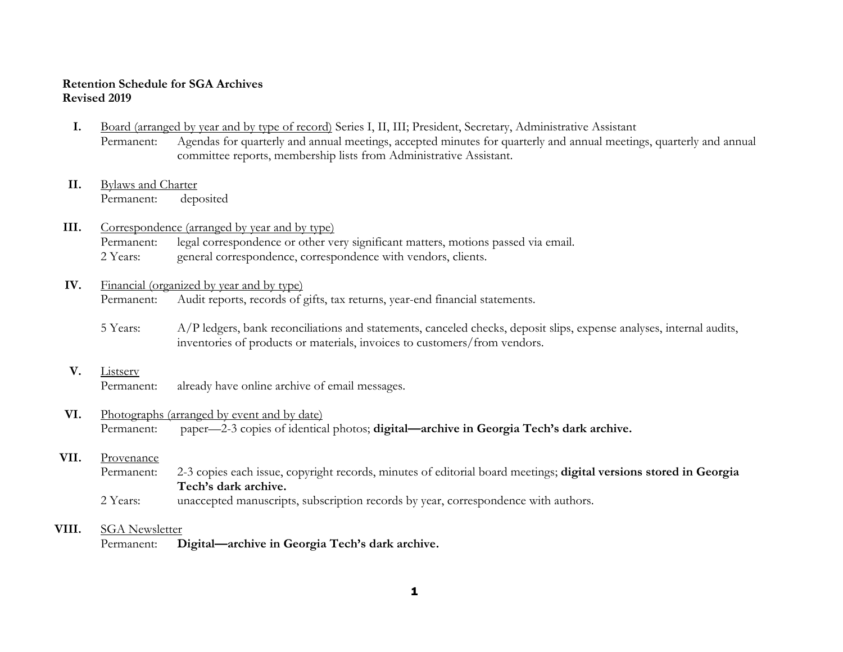## **Retention Schedule for SGA Archives Revised 2019**

- **I.** Board (arranged by year and by type of record) Series I, II, III; President, Secretary, Administrative Assistant Permanent: Agendas for quarterly and annual meetings, accepted minutes for quarterly and annual meetings, quarterly and annual committee reports, membership lists from Administrative Assistant.
- **II.** Bylaws and Charter Permanent: deposited

# **III.** Correspondence (arranged by year and by type)

Permanent: legal correspondence or other very significant matters, motions passed via email. 2 Years: general correspondence, correspondence with vendors, clients.

# **IV.** Financial (organized by year and by type)

Permanent: Audit reports, records of gifts, tax returns, year-end financial statements.

5 Years: A/P ledgers, bank reconciliations and statements, canceled checks, deposit slips, expense analyses, internal audits, inventories of products or materials, invoices to customers/from vendors.

### **V.** Listserv

Permanent: already have online archive of email messages.

# **VI.** Photographs (arranged by event and by date)

Permanent: paper—2-3 copies of identical photos; **digital—archive in Georgia Tech's dark archive.** 

## **VII.** Provenance

Permanent: 2-3 copies each issue, copyright records, minutes of editorial board meetings; **digital versions stored in Georgia Tech's dark archive.**

2 Years: unaccepted manuscripts, subscription records by year, correspondence with authors.

## **VIII.** SGA Newsletter

Permanent: **Digital—archive in Georgia Tech's dark archive.**